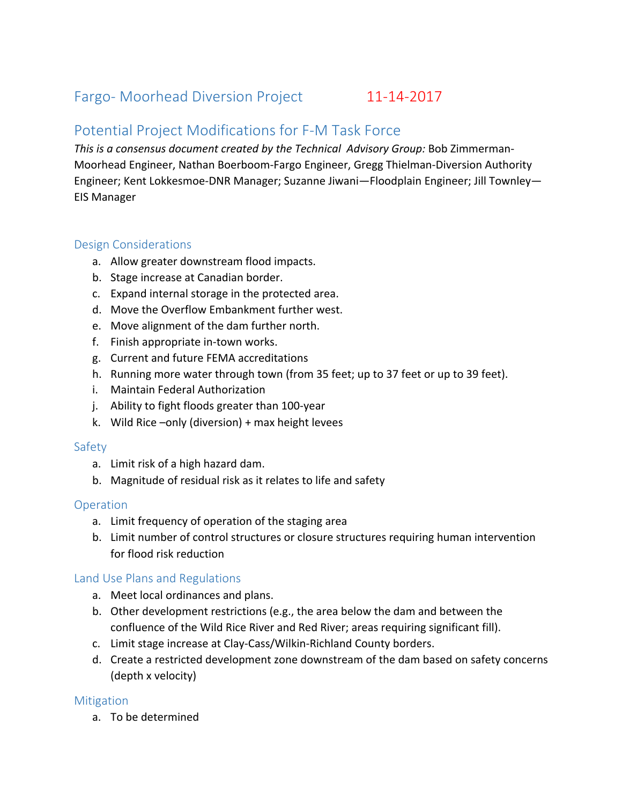# Fargo- Moorhead Diversion Project 11-14-2017

## Potential Project Modifications for F-M Task Force

*This is a consensus document created by the Technical Advisory Group: Bob Zimmerman-*Moorhead Engineer, Nathan Boerboom-Fargo Engineer, Gregg Thielman-Diversion Authority Engineer; Kent Lokkesmoe-DNR Manager; Suzanne Jiwani—Floodplain Engineer; Jill Townley— EIS Manager

## Design Considerations

- a. Allow greater downstream flood impacts.
- b. Stage increase at Canadian border.
- c. Expand internal storage in the protected area.
- d. Move the Overflow Embankment further west.
- e. Move alignment of the dam further north.
- f. Finish appropriate in-town works.
- g. Current and future FEMA accreditations
- h. Running more water through town (from 35 feet; up to 37 feet or up to 39 feet).
- i. Maintain Federal Authorization
- j. Ability to fight floods greater than 100-year
- k. Wild Rice –only (diversion)  $+$  max height levees

#### Safety

- a. Limit risk of a high hazard dam.
- b. Magnitude of residual risk as it relates to life and safety

#### **Operation**

- a. Limit frequency of operation of the staging area
- b. Limit number of control structures or closure structures requiring human intervention for flood risk reduction

## Land Use Plans and Regulations

- a. Meet local ordinances and plans.
- b. Other development restrictions (e.g., the area below the dam and between the confluence of the Wild Rice River and Red River; areas requiring significant fill).
- c. Limit stage increase at Clay-Cass/Wilkin-Richland County borders.
- d. Create a restricted development zone downstream of the dam based on safety concerns (depth x velocity)

#### **Mitigation**

a. To be determined